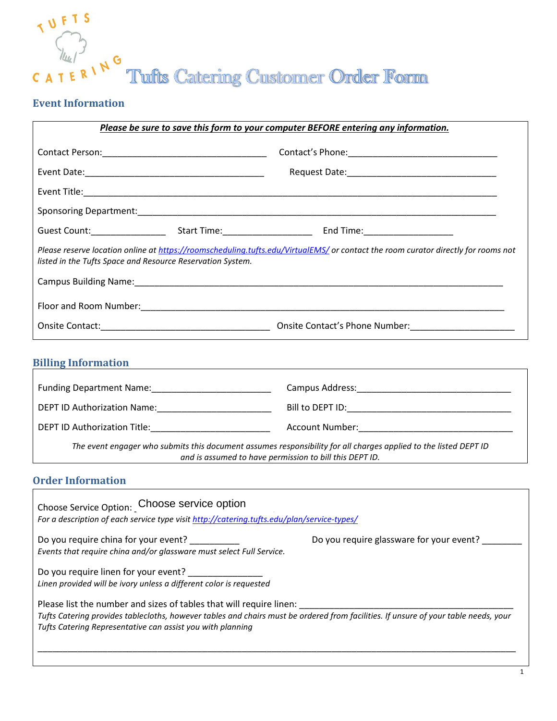# $\begin{array}{c}\n\sqrt{1+1}S \\
\hline\n\end{array}$ <br>
C A I E R I N G<br>
Tufts Catering Customer Order Form

# **Event Information**

| Please be sure to save this form to your computer BEFORE entering any information.                                                                                                                                                                                                     |  |
|----------------------------------------------------------------------------------------------------------------------------------------------------------------------------------------------------------------------------------------------------------------------------------------|--|
|                                                                                                                                                                                                                                                                                        |  |
|                                                                                                                                                                                                                                                                                        |  |
|                                                                                                                                                                                                                                                                                        |  |
|                                                                                                                                                                                                                                                                                        |  |
|                                                                                                                                                                                                                                                                                        |  |
| Please reserve location online at https://roomscheduling.tufts.edu/VirtualEMS/ or contact the room curator directly for rooms not<br>listed in the Tufts Space and Resource Reservation System.                                                                                        |  |
|                                                                                                                                                                                                                                                                                        |  |
|                                                                                                                                                                                                                                                                                        |  |
|                                                                                                                                                                                                                                                                                        |  |
| <b>Billing Information</b><br><u> 1989 - John Stein, Amerikaansk politiker (* 1918)</u>                                                                                                                                                                                                |  |
| Funding Department Name: ______________________________                                                                                                                                                                                                                                |  |
| DEPT ID Authorization Name: _____________________________                                                                                                                                                                                                                              |  |
| DEPT ID Authorization Title: _____________________________                                                                                                                                                                                                                             |  |
| The event engager who submits this document assumes responsibility for all charges applied to the listed DEPT ID<br>and is assumed to have permission to bill this DEPT ID.                                                                                                            |  |
| <b>Order Information</b>                                                                                                                                                                                                                                                               |  |
| Choose Service Option: Choose service option<br>For a description of each service type visit http://catering.tufts.edu/plan/service-types/                                                                                                                                             |  |
| Do you require glassware for your event?<br>Do you require china for your event? _________<br>Events that require china and/or glassware must select Full Service.                                                                                                                     |  |
| Do you require linen for your event? _________<br>Linen provided will be ivory unless a different color is requested                                                                                                                                                                   |  |
| Please list the number and sizes of tables that will require linen: _____________<br>Tufts Catering provides tablecloths, however tables and chairs must be ordered from facilities. If unsure of your table needs, your<br>Tufts Catering Representative can assist you with planning |  |
|                                                                                                                                                                                                                                                                                        |  |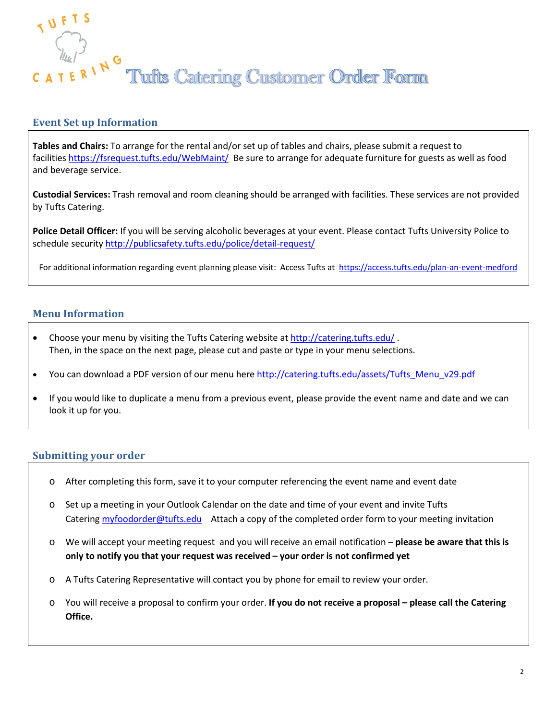

## **Event Set up Information**

**Tables and Chairs:** To arrange for the rental and/or set up of tables and chairs, please submit a request to facilities<https://fsrequest.tufts.edu/WebMaint/>Be sure to arrange for adequate furniture for guests as well as food and beverage service.

**Custodial Services:** Trash removal and room cleaning should be arranged with facilities. These services are not provided by Tufts Catering.

**Police Detail Officer:** If you will be serving alcoholic beverages at your event. Please contact Tufts University Police to schedule security<http://publicsafety.tufts.edu/police/detail-request/>

For additional information regarding event planning please visit: Access Tufts at <https://access.tufts.edu/plan-an-event-medford>

### **Menu Information**

- Choose your menu by visiting the Tufts Catering website a[t http://catering.tufts.edu/](http://catering.tufts.edu/). Then, in the space on the next page, please cut and paste or type in your menu selections.
- You can download a PDF version of our menu her[e http://catering.tufts.edu/assets/Tufts\\_Menu\\_v29.pdf](http://catering.tufts.edu/assets/Tufts_Menu_v29.pdf)
- If you would like to duplicate a menu from a previous event, please provide the event name and date and we can look it up for you.

### **Submitting your order**

- o After completing this form, save it to your computer referencing the event name and event date
- o Set up a meeting in your Outlook Calendar on the date and time of your event and invite Tufts Catering [myfoodorder@tufts.edu](mailto:myfoodorder@tufts.edu) Attach a copy of the completed order form to your meeting invitation
- o We will accept your meeting request and you will receive an email notification **please be aware that this is only to notify you that your request was received – your order is not confirmed yet**
- o A Tufts Catering Representative will contact you by phone for email to review your order.
- o You will receive a proposal to confirm your order. **If you do not receive a proposal – please call the Catering Office.**